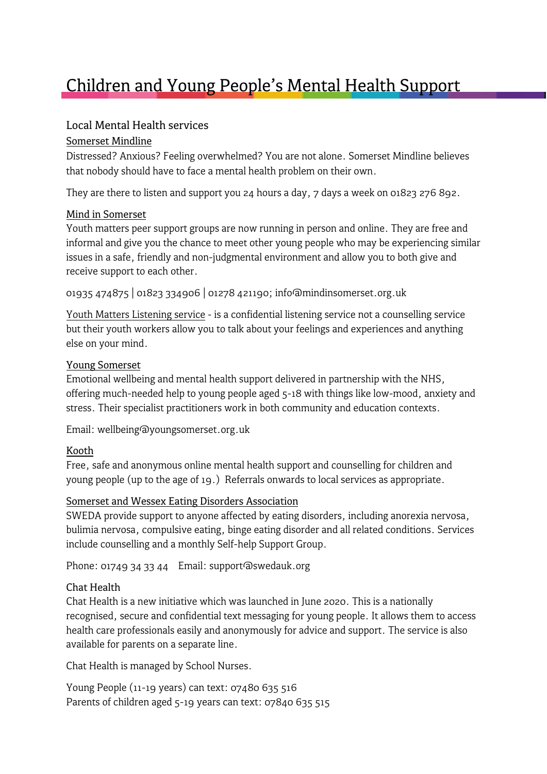# Children and Young People's Mental Health Support

## Local Mental Health services

#### [Somerset Mindline](https://www.mindinsomerset.org.uk/our-services/adult-one-to-one-support/mindline/)

Distressed? Anxious? Feeling overwhelmed? You are not alone. Somerset Mindline believes that nobody should have to face a mental health problem on their own.

They are there to listen and support you 24 hours a day, 7 days a week on 01823 276 892.

#### [Mind in Somerset](http://www.mindinsomerset.org.uk/our-services/young-people/youth-matters-peer-support-groups/)

Youth matters peer support groups are now running in person and online. They are free and informal and give you the chance to meet other young people who may be experiencing similar issues in a safe, friendly and non-judgmental environment and allow you to both give and receive support to each other.

01935 474875 | 01823 334906 | 01278 421190; info@mindinsomerset.org.uk

[Youth Matters Listening service](http://www.mindinsomerset.org.uk/our-services/young-people/youth-matters-listening-service/) - is a confidential listening service not a counselling service but their youth workers allow you to talk about your feelings and experiences and anything else on your mind.

#### [Young Somerset](https://www.youngsomerset.org.uk/wellbeing-support)

Emotional wellbeing and mental health support delivered in partnership with the NHS, offering much-needed help to young people aged 5-18 with things like low-mood, anxiety and stress. Their specialist practitioners work in both community and education contexts.

Email: wellbeing@youngsomerset.org.uk

#### [Kooth](http://www.kooth.com/)

Free, safe and anonymous online mental health support and counselling for children and young people (up to the age of 19.) Referrals onwards to local services as appropriate.

#### [Somerset and Wessex Eating](http://www.swedauk.org/services) Disorders Association

SWEDA provide support to anyone affected by eating disorders, including anorexia nervosa, bulimia nervosa, compulsive eating, binge eating disorder and all related conditions. Services include counselling and a monthly Self-help Support Group.

Phone: 01749 34 33 44 Email: support@swedauk.org

#### Chat Health

Chat Health is a new initiative which was launched in June 2020. This is a nationally recognised, secure and confidential text messaging for young people. It allows them to access health care professionals easily and anonymously for advice and support. The service is also available for parents on a separate line.

Chat Health is managed by School Nurses.

Young People (11-19 years) can text: 07480 635 516 Parents of children aged 5-19 years can text: 07840 635 515